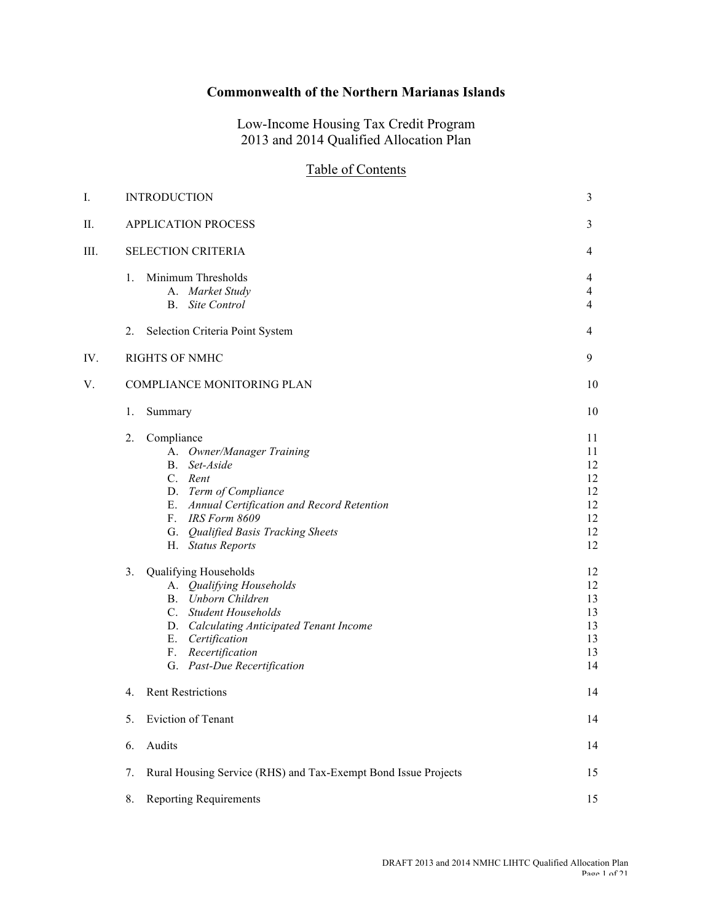# **Commonwealth of the Northern Marianas Islands**

Low-Income Housing Tax Credit Program 2013 and 2014 Qualified Allocation Plan

# Table of Contents

| I.  | <b>INTRODUCTION</b>                                                                                                                                                                                                                                                                                                                                                                                                                                                | 3                                                                                                  |
|-----|--------------------------------------------------------------------------------------------------------------------------------------------------------------------------------------------------------------------------------------------------------------------------------------------------------------------------------------------------------------------------------------------------------------------------------------------------------------------|----------------------------------------------------------------------------------------------------|
| П.  | APPLICATION PROCESS                                                                                                                                                                                                                                                                                                                                                                                                                                                | 3                                                                                                  |
| Ш.  | <b>SELECTION CRITERIA</b>                                                                                                                                                                                                                                                                                                                                                                                                                                          | 4                                                                                                  |
|     | Minimum Thresholds<br>1.<br>A. Market Study<br>Site Control<br><b>B</b> .                                                                                                                                                                                                                                                                                                                                                                                          | 4<br>$\overline{4}$<br>$\overline{4}$                                                              |
|     | Selection Criteria Point System<br>2.                                                                                                                                                                                                                                                                                                                                                                                                                              | 4                                                                                                  |
| IV. | <b>RIGHTS OF NMHC</b>                                                                                                                                                                                                                                                                                                                                                                                                                                              | 9                                                                                                  |
| V.  | COMPLIANCE MONITORING PLAN                                                                                                                                                                                                                                                                                                                                                                                                                                         | 10                                                                                                 |
|     | 1.<br>Summary                                                                                                                                                                                                                                                                                                                                                                                                                                                      | 10                                                                                                 |
|     | 2.<br>Compliance<br>A. Owner/Manager Training<br>Set-Aside<br>B.<br>C. Rent<br>D. Term of Compliance<br>E. Annual Certification and Record Retention<br>F. IRS Form 8609<br>G. Qualified Basis Tracking Sheets<br>H. Status Reports<br>3.<br>Qualifying Households<br>A. Qualifying Households<br>B. Unborn Children<br>C. Student Households<br>D. Calculating Anticipated Tenant Income<br>E. Certification<br>F. Recertification<br>G. Past-Due Recertification | 11<br>11<br>12<br>12<br>12<br>12<br>12<br>12<br>12<br>12<br>12<br>13<br>13<br>13<br>13<br>13<br>14 |
|     | <b>Rent Restrictions</b><br>4.                                                                                                                                                                                                                                                                                                                                                                                                                                     | 14                                                                                                 |
|     | 5.<br>Eviction of Tenant                                                                                                                                                                                                                                                                                                                                                                                                                                           | 14                                                                                                 |
|     | Audits<br>6.                                                                                                                                                                                                                                                                                                                                                                                                                                                       | 14                                                                                                 |
|     | Rural Housing Service (RHS) and Tax-Exempt Bond Issue Projects<br>7.                                                                                                                                                                                                                                                                                                                                                                                               | 15                                                                                                 |
|     | <b>Reporting Requirements</b><br>8.                                                                                                                                                                                                                                                                                                                                                                                                                                | 15                                                                                                 |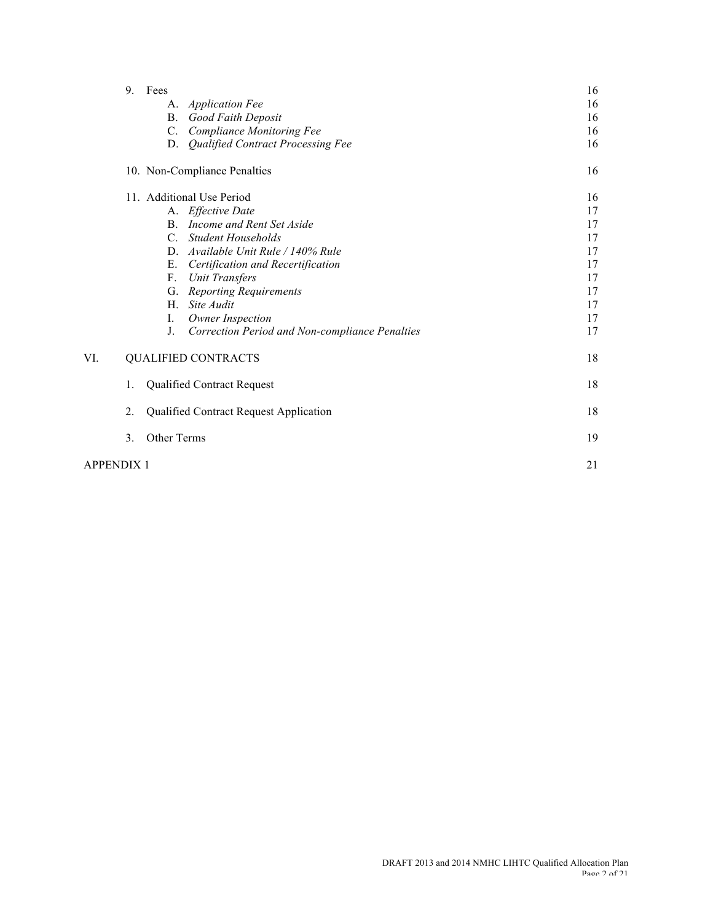|     | 9.<br>Fees                                           | 16 |
|-----|------------------------------------------------------|----|
|     | A. Application Fee                                   | 16 |
|     | <b>B.</b> Good Faith Deposit                         | 16 |
|     | C. Compliance Monitoring Fee                         | 16 |
|     | D. Qualified Contract Processing Fee                 | 16 |
|     | 10. Non-Compliance Penalties                         | 16 |
|     | 11. Additional Use Period                            | 16 |
|     | A. Effective Date                                    | 17 |
|     | Income and Rent Set Aside<br>$\mathbf{B}$ .          | 17 |
|     | <b>Student Households</b><br>$C_{-}$                 | 17 |
|     | D. Available Unit Rule / 140% Rule                   | 17 |
|     | Certification and Recertification<br>Е.              | 17 |
|     | $F_{\tau}$<br>Unit Transfers                         | 17 |
|     | <b>Reporting Requirements</b><br>G.                  | 17 |
|     | H. Site Audit                                        | 17 |
|     | Owner Inspection<br>I.                               | 17 |
|     | J.<br>Correction Period and Non-compliance Penalties | 17 |
| VI. | <b>QUALIFIED CONTRACTS</b>                           | 18 |
|     | <b>Qualified Contract Request</b><br>1.              | 18 |
|     | 2.<br>Qualified Contract Request Application         | 18 |
|     | 3.<br>Other Terms                                    | 19 |
|     | APPENDIX 1                                           | 21 |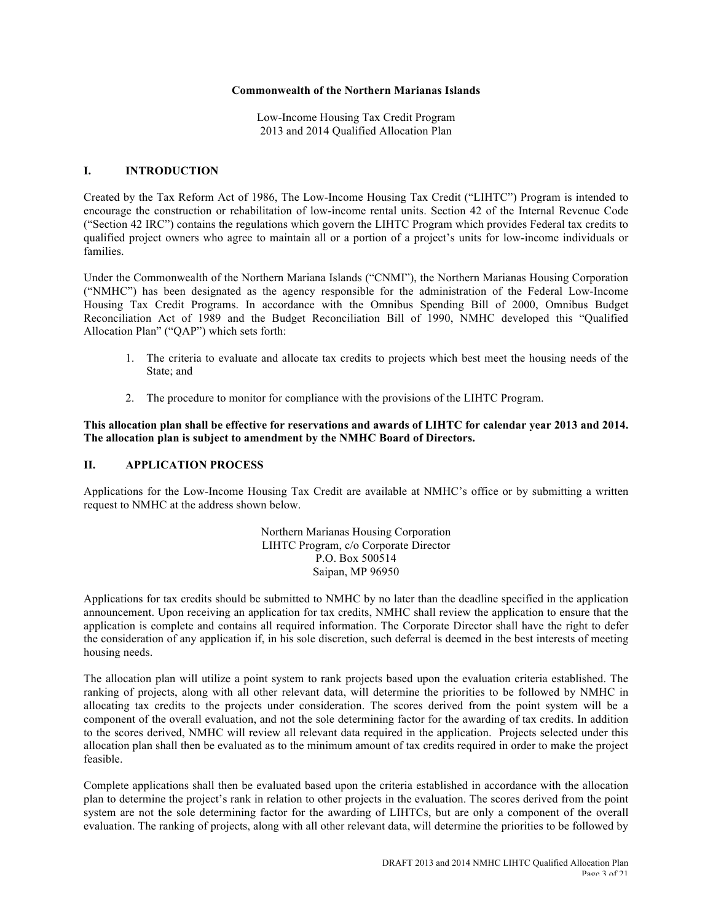#### **Commonwealth of the Northern Marianas Islands**

Low-Income Housing Tax Credit Program 2013 and 2014 Qualified Allocation Plan

#### **I. INTRODUCTION**

Created by the Tax Reform Act of 1986, The Low-Income Housing Tax Credit ("LIHTC") Program is intended to encourage the construction or rehabilitation of low-income rental units. Section 42 of the Internal Revenue Code ("Section 42 IRC") contains the regulations which govern the LIHTC Program which provides Federal tax credits to qualified project owners who agree to maintain all or a portion of a project's units for low-income individuals or families.

Under the Commonwealth of the Northern Mariana Islands ("CNMI"), the Northern Marianas Housing Corporation ("NMHC") has been designated as the agency responsible for the administration of the Federal Low-Income Housing Tax Credit Programs. In accordance with the Omnibus Spending Bill of 2000, Omnibus Budget Reconciliation Act of 1989 and the Budget Reconciliation Bill of 1990, NMHC developed this "Qualified Allocation Plan" ("QAP") which sets forth:

- 1. The criteria to evaluate and allocate tax credits to projects which best meet the housing needs of the State; and
- 2. The procedure to monitor for compliance with the provisions of the LIHTC Program.

### **This allocation plan shall be effective for reservations and awards of LIHTC for calendar year 2013 and 2014. The allocation plan is subject to amendment by the NMHC Board of Directors.**

### **II. APPLICATION PROCESS**

Applications for the Low-Income Housing Tax Credit are available at NMHC's office or by submitting a written request to NMHC at the address shown below.

> Northern Marianas Housing Corporation LIHTC Program, c/o Corporate Director P.O. Box 500514 Saipan, MP 96950

Applications for tax credits should be submitted to NMHC by no later than the deadline specified in the application announcement. Upon receiving an application for tax credits, NMHC shall review the application to ensure that the application is complete and contains all required information. The Corporate Director shall have the right to defer the consideration of any application if, in his sole discretion, such deferral is deemed in the best interests of meeting housing needs.

The allocation plan will utilize a point system to rank projects based upon the evaluation criteria established. The ranking of projects, along with all other relevant data, will determine the priorities to be followed by NMHC in allocating tax credits to the projects under consideration. The scores derived from the point system will be a component of the overall evaluation, and not the sole determining factor for the awarding of tax credits. In addition to the scores derived, NMHC will review all relevant data required in the application. Projects selected under this allocation plan shall then be evaluated as to the minimum amount of tax credits required in order to make the project feasible.

Complete applications shall then be evaluated based upon the criteria established in accordance with the allocation plan to determine the project's rank in relation to other projects in the evaluation. The scores derived from the point system are not the sole determining factor for the awarding of LIHTCs, but are only a component of the overall evaluation. The ranking of projects, along with all other relevant data, will determine the priorities to be followed by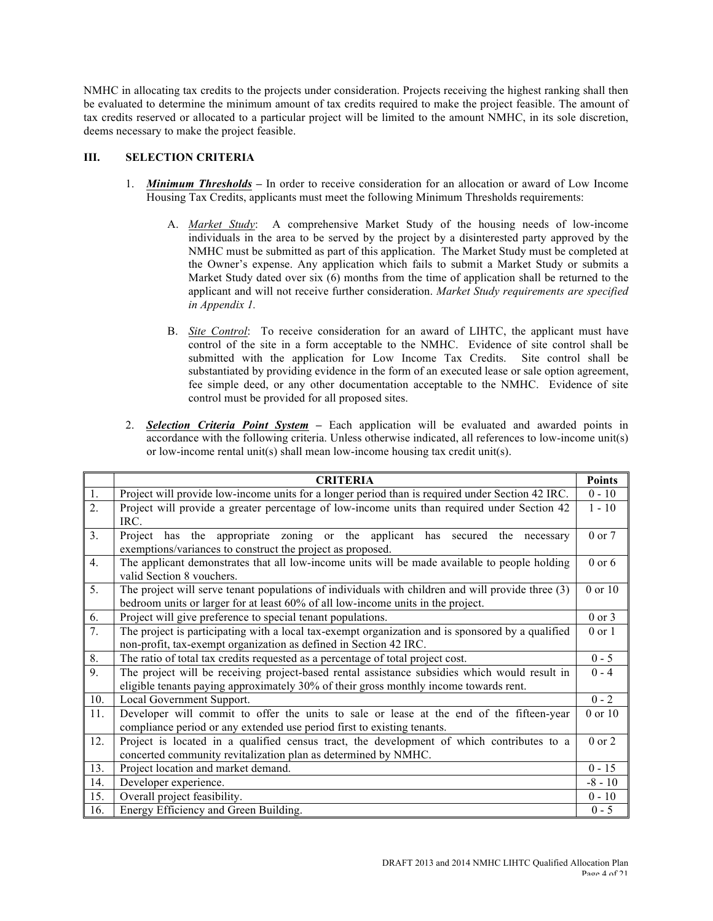NMHC in allocating tax credits to the projects under consideration. Projects receiving the highest ranking shall then be evaluated to determine the minimum amount of tax credits required to make the project feasible. The amount of tax credits reserved or allocated to a particular project will be limited to the amount NMHC, in its sole discretion, deems necessary to make the project feasible.

## **III. SELECTION CRITERIA**

- 1. *Minimum Thresholds* **–** In order to receive consideration for an allocation or award of Low Income Housing Tax Credits, applicants must meet the following Minimum Thresholds requirements:
	- A. *Market Study*:A comprehensive Market Study of the housing needs of low-income individuals in the area to be served by the project by a disinterested party approved by the NMHC must be submitted as part of this application. The Market Study must be completed at the Owner's expense. Any application which fails to submit a Market Study or submits a Market Study dated over six (6) months from the time of application shall be returned to the applicant and will not receive further consideration. *Market Study requirements are specified in Appendix 1.*
	- B. *Site Control*: To receive consideration for an award of LIHTC, the applicant must have control of the site in a form acceptable to the NMHC. Evidence of site control shall be submitted with the application for Low Income Tax Credits. Site control shall be substantiated by providing evidence in the form of an executed lease or sale option agreement, fee simple deed, or any other documentation acceptable to the NMHC. Evidence of site control must be provided for all proposed sites.
- 2. *Selection Criteria Point System* **–** Each application will be evaluated and awarded points in accordance with the following criteria. Unless otherwise indicated, all references to low-income unit(s) or low-income rental unit(s) shall mean low-income housing tax credit unit(s).

|     | <b>CRITERIA</b>                                                                                   | <b>Points</b> |
|-----|---------------------------------------------------------------------------------------------------|---------------|
| 1.  | Project will provide low-income units for a longer period than is required under Section 42 IRC.  | $0 - 10$      |
| 2.  | Project will provide a greater percentage of low-income units than required under Section 42      | $1 - 10$      |
|     | IRC.                                                                                              |               |
| 3.  | has the appropriate zoning or the applicant has secured<br>Project<br>the<br>necessary            | 0 or 7        |
|     | exemptions/variances to construct the project as proposed.                                        |               |
| 4.  | The applicant demonstrates that all low-income units will be made available to people holding     | $0$ or $6$    |
|     | valid Section 8 vouchers.                                                                         |               |
| 5.  | The project will serve tenant populations of individuals with children and will provide three (3) | 0 or 10       |
|     | bedroom units or larger for at least 60% of all low-income units in the project.                  |               |
| 6.  | Project will give preference to special tenant populations.                                       | $0$ or $3$    |
| 7.  | The project is participating with a local tax-exempt organization and is sponsored by a qualified | $0$ or $1$    |
|     | non-profit, tax-exempt organization as defined in Section 42 IRC.                                 |               |
| 8.  | The ratio of total tax credits requested as a percentage of total project cost.                   | $0 - 5$       |
| 9.  | The project will be receiving project-based rental assistance subsidies which would result in     | $0 - 4$       |
|     | eligible tenants paying approximately 30% of their gross monthly income towards rent.             |               |
| 10. | Local Government Support.                                                                         | $0 - 2$       |
| 11. | Developer will commit to offer the units to sale or lease at the end of the fifteen-year          | 0 or 10       |
|     | compliance period or any extended use period first to existing tenants.                           |               |
| 12. | Project is located in a qualified census tract, the development of which contributes to a         | 0 or 2        |
|     | concerted community revitalization plan as determined by NMHC.                                    |               |
| 13. | Project location and market demand.                                                               | $0 - 15$      |
| 14. | Developer experience.                                                                             | $-8 - 10$     |
| 15. | Overall project feasibility.                                                                      | $0 - 10$      |
| 16. | Energy Efficiency and Green Building.                                                             | $0 - 5$       |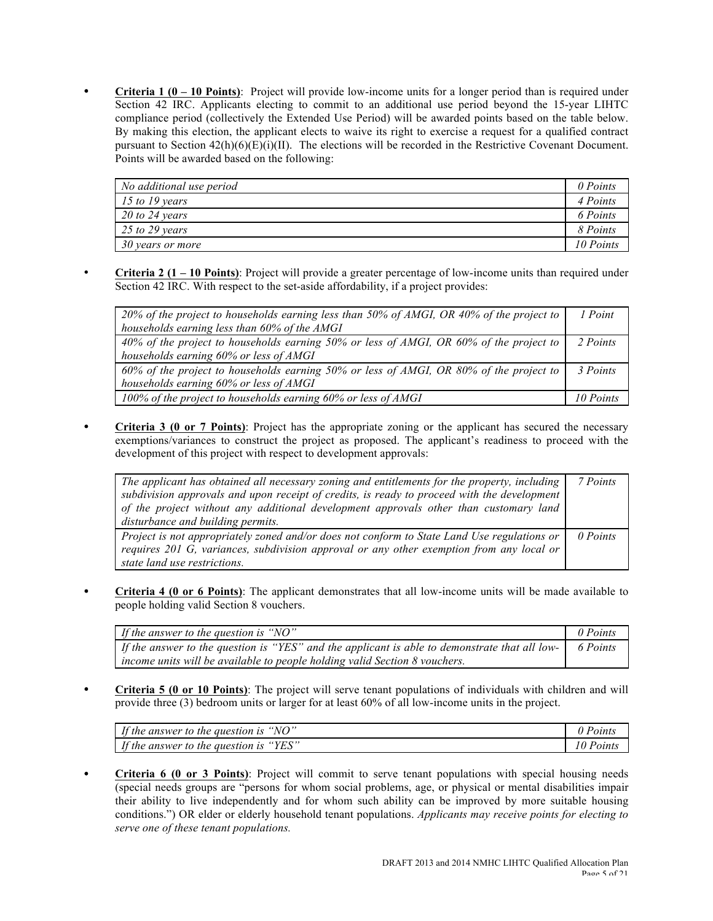• **Criteria 1 (0 – 10 Points)**:Project will provide low-income units for a longer period than is required under Section 42 IRC. Applicants electing to commit to an additional use period beyond the 15-year LIHTC compliance period (collectively the Extended Use Period) will be awarded points based on the table below. By making this election, the applicant elects to waive its right to exercise a request for a qualified contract pursuant to Section  $42(h)(6)(E)(i)(II)$ . The elections will be recorded in the Restrictive Covenant Document. Points will be awarded based on the following:

| No additional use period | 0 Points  |
|--------------------------|-----------|
| $15$ to 19 years         | 4 Points  |
| $20$ to 24 years         | 6 Points  |
| 25 to 29 years           | 8 Points  |
| 30 years or more         | 10 Points |

• **Criteria 2 (1 – 10 Points)**: Project will provide a greater percentage of low-income units than required under Section 42 IRC. With respect to the set-aside affordability, if a project provides:

| 20% of the project to households earning less than 50% of AMGI, OR 40% of the project to<br>households earning less than 60% of the AMGI | 1 Point   |
|------------------------------------------------------------------------------------------------------------------------------------------|-----------|
| 40% of the project to households earning 50% or less of AMGI, OR 60% of the project to                                                   | 2 Points  |
| households earning 60% or less of AMGI                                                                                                   |           |
| 60% of the project to households earning 50% or less of AMGI, OR 80% of the project to                                                   | 3 Points  |
| households earning 60% or less of AMGI                                                                                                   |           |
| 100% of the project to households earning 60% or less of AMGI                                                                            | 10 Points |

• **Criteria 3 (0 or 7 Points)**: Project has the appropriate zoning or the applicant has secured the necessary exemptions/variances to construct the project as proposed. The applicant's readiness to proceed with the development of this project with respect to development approvals:

| The applicant has obtained all necessary zoning and entitlements for the property, including<br>subdivision approvals and upon receipt of credits, is ready to proceed with the development<br>of the project without any additional development approvals other than customary land | 7 Points |
|--------------------------------------------------------------------------------------------------------------------------------------------------------------------------------------------------------------------------------------------------------------------------------------|----------|
| disturbance and building permits.                                                                                                                                                                                                                                                    |          |
| Project is not appropriately zoned and/or does not conform to State Land Use regulations or<br>requires 201 G, variances, subdivision approval or any other exemption from any local or<br>state land use restrictions.                                                              | 0 Points |

• **Criteria 4 (0 or 6 Points)**: The applicant demonstrates that all low-income units will be made available to people holding valid Section 8 vouchers.

| If the answer to the question is " $NO$ "                                                     | 0 Points |
|-----------------------------------------------------------------------------------------------|----------|
| If the answer to the question is "YES" and the applicant is able to demonstrate that all low- | 6 Points |
| income units will be available to people holding valid Section 8 vouchers.                    |          |

• **Criteria 5 (0 or 10 Points)**: The project will serve tenant populations of individuals with children and will provide three (3) bedroom units or larger for at least 60% of all low-income units in the project.

| If the answer to the question is "NO"     | Points |
|-------------------------------------------|--------|
| If the answer to the question is<br>"YES" | Points |

• **Criteria 6 (0 or 3 Points)**: Project will commit to serve tenant populations with special housing needs (special needs groups are "persons for whom social problems, age, or physical or mental disabilities impair their ability to live independently and for whom such ability can be improved by more suitable housing conditions.") OR elder or elderly household tenant populations. *Applicants may receive points for electing to serve one of these tenant populations.*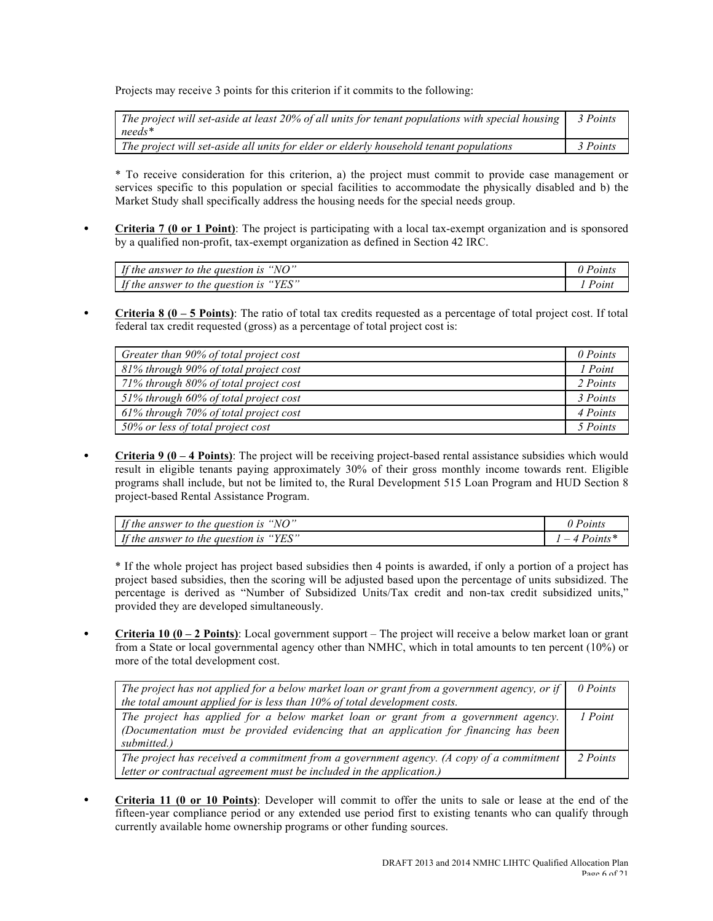Projects may receive 3 points for this criterion if it commits to the following:

| The project will set-aside at least 20% of all units for tenant populations with special housing<br>$needs^*$ | 3 Points |
|---------------------------------------------------------------------------------------------------------------|----------|
| The project will set-aside all units for elder or elderly household tenant populations                        | 3 Points |

\* To receive consideration for this criterion, a) the project must commit to provide case management or services specific to this population or special facilities to accommodate the physically disabled and b) the Market Study shall specifically address the housing needs for the special needs group.

• **Criteria 7 (0 or 1 Point)**: The project is participating with a local tax-exempt organization and is sponsored by a qualified non-profit, tax-exempt organization as defined in Section 42 IRC.

| $\mathbf{r}$<br>"NO"<br>the answer to the question is            | 'oınts   |
|------------------------------------------------------------------|----------|
| $\mathbf{r}$<br>$\cdot$ "YES"<br>f the answer to the question is | $"$ oini |

• **Criteria 8 (0 – 5 Points)**: The ratio of total tax credits requested as a percentage of total project cost. If total federal tax credit requested (gross) as a percentage of total project cost is:

| Greater than 90% of total project cost | 0 Points |
|----------------------------------------|----------|
| 81% through 90% of total project cost  | 1 Point  |
| 71% through 80% of total project cost  | 2 Points |
| 51% through 60% of total project cost  | 3 Points |
| 61% through 70% of total project cost  | 4 Points |
| 50% or less of total project cost      | 5 Points |

• **Criteria 9 (0 – 4 Points)**: The project will be receiving project-based rental assistance subsidies which would result in eligible tenants paying approximately 30% of their gross monthly income towards rent. Eligible programs shall include, but not be limited to, the Rural Development 515 Loan Program and HUD Section 8 project-based Rental Assistance Program.

| If the answer to the question is "NO"     | Point:     |
|-------------------------------------------|------------|
| If the answer to the question is " $YES"$ | $Points^*$ |

\* If the whole project has project based subsidies then 4 points is awarded, if only a portion of a project has project based subsidies, then the scoring will be adjusted based upon the percentage of units subsidized. The percentage is derived as "Number of Subsidized Units/Tax credit and non-tax credit subsidized units," provided they are developed simultaneously.

• **Criteria 10 (0 – 2 Points)**: Local government support – The project will receive a below market loan or grant from a State or local governmental agency other than NMHC, which in total amounts to ten percent (10%) or more of the total development cost.

| The project has not applied for a below market loan or grant from a government agency, or if                                                                                               | 0 Points |
|--------------------------------------------------------------------------------------------------------------------------------------------------------------------------------------------|----------|
| the total amount applied for is less than 10% of total development costs.                                                                                                                  |          |
| The project has applied for a below market loan or grant from a government agency.<br>(Documentation must be provided evidencing that an application for financing has been<br>submitted.) | 1 Point  |
| The project has received a commitment from a government agency. (A copy of a commitment<br>letter or contractual agreement must be included in the application.)                           | 2 Points |

• **Criteria 11 (0 or 10 Points)**: Developer will commit to offer the units to sale or lease at the end of the fifteen-year compliance period or any extended use period first to existing tenants who can qualify through currently available home ownership programs or other funding sources.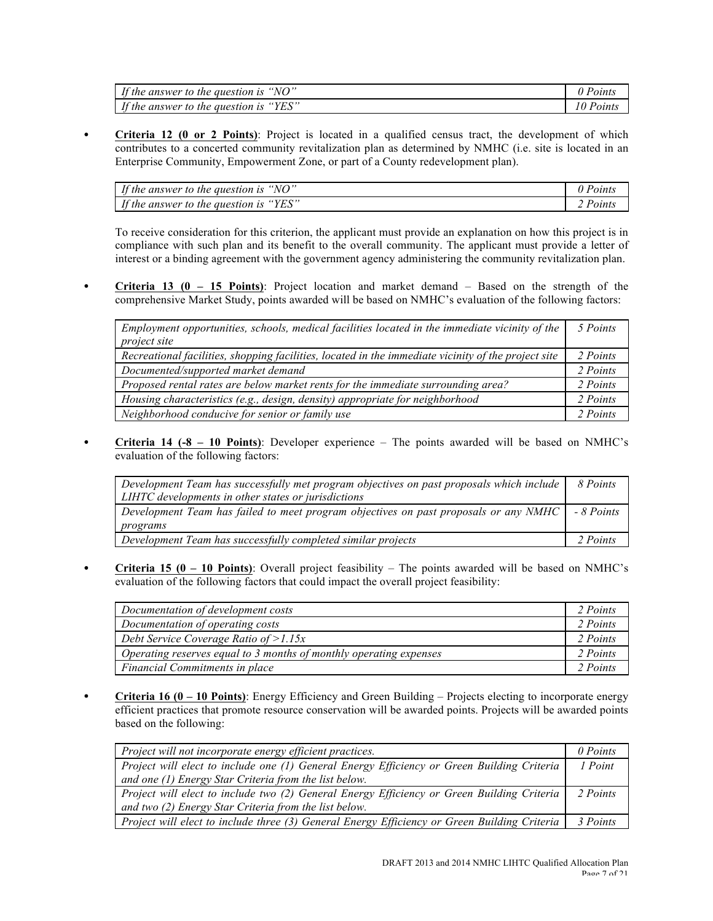| If the answer to the question is<br>"NO"                       | 'oints |
|----------------------------------------------------------------|--------|
| If the answer to the question is $\theta$<br>$\lrcorner$ "YES" | 'oınts |

• **Criteria 12 (0 or 2 Points)**: Project is located in a qualified census tract, the development of which contributes to a concerted community revitalization plan as determined by NMHC (i.e. site is located in an Enterprise Community, Empowerment Zone, or part of a County redevelopment plan).

| If the answer to the question is<br>$\degree$ NO" |        |
|---------------------------------------------------|--------|
| If the answer to the question is<br>"YES"         | 'oınts |

To receive consideration for this criterion, the applicant must provide an explanation on how this project is in compliance with such plan and its benefit to the overall community. The applicant must provide a letter of interest or a binding agreement with the government agency administering the community revitalization plan.

• **Criteria 13 (0 – 15 Points)**: Project location and market demand – Based on the strength of the comprehensive Market Study, points awarded will be based on NMHC's evaluation of the following factors:

| Employment opportunities, schools, medical facilities located in the immediate vicinity of the      | 5 Points |
|-----------------------------------------------------------------------------------------------------|----------|
| project site                                                                                        |          |
| Recreational facilities, shopping facilities, located in the immediate vicinity of the project site | 2 Points |
| Documented/supported market demand                                                                  | 2 Points |
| Proposed rental rates are below market rents for the immediate surrounding area?                    | 2 Points |
| Housing characteristics (e.g., design, density) appropriate for neighborhood                        | 2 Points |
| Neighborhood conducive for senior or family use                                                     | 2 Points |

• **Criteria 14 (-8 – 10 Points)**: Developer experience – The points awarded will be based on NMHC's evaluation of the following factors:

| Development Team has successfully met program objectives on past proposals which include | 8 Points   |
|------------------------------------------------------------------------------------------|------------|
| LIHTC developments in other states or jurisdictions                                      |            |
| Development Team has failed to meet program objectives on past proposals or any NMHC     | - 8 Points |
| programs                                                                                 |            |
| Development Team has successfully completed similar projects                             | 2 Points   |

• **Criteria 15 (0 – 10 Points)**: Overall project feasibility – The points awarded will be based on NMHC's evaluation of the following factors that could impact the overall project feasibility:

| Documentation of development costs                                 | 2 Points |
|--------------------------------------------------------------------|----------|
| Documentation of operating costs                                   | 2 Points |
| Debt Service Coverage Ratio of $>1.15x$                            | 2 Points |
| Operating reserves equal to 3 months of monthly operating expenses | 2 Points |
| Financial Commitments in place                                     | 2 Points |

• **Criteria 16 (0 – 10 Points)**: Energy Efficiency and Green Building – Projects electing to incorporate energy efficient practices that promote resource conservation will be awarded points. Projects will be awarded points based on the following:

| Project will not incorporate energy efficient practices.                                     | 0 Points |
|----------------------------------------------------------------------------------------------|----------|
| Project will elect to include one (1) General Energy Efficiency or Green Building Criteria   | 1 Point  |
| and one (1) Energy Star Criteria from the list below.                                        |          |
| Project will elect to include two (2) General Energy Efficiency or Green Building Criteria   | 2 Points |
| and two (2) Energy Star Criteria from the list below.                                        |          |
| Project will elect to include three (3) General Energy Efficiency or Green Building Criteria | 3 Points |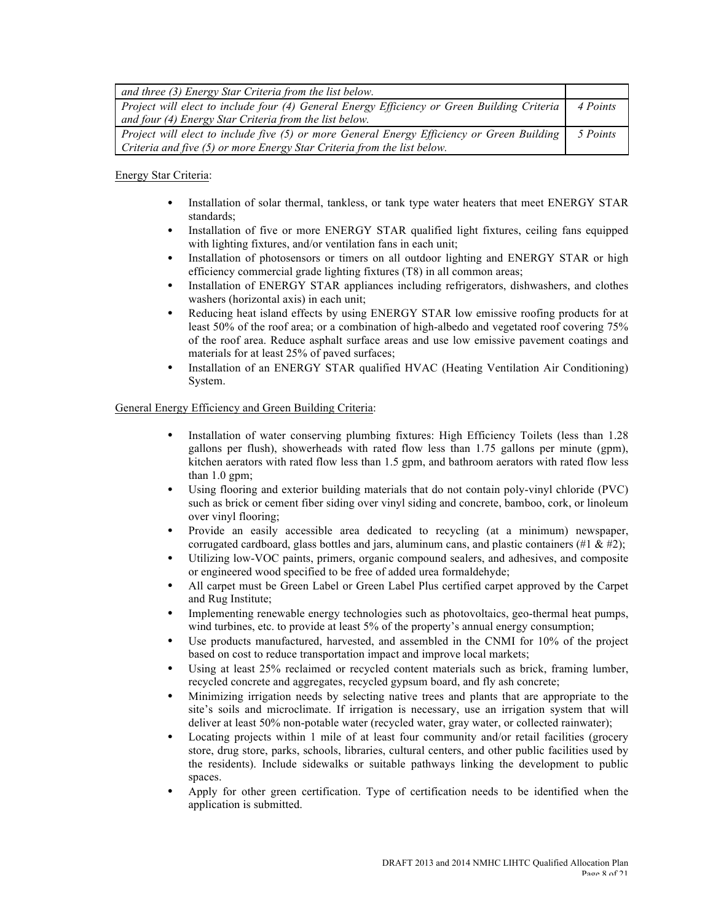| and three (3) Energy Star Criteria from the list below.                                     |          |
|---------------------------------------------------------------------------------------------|----------|
| Project will elect to include four (4) General Energy Efficiency or Green Building Criteria | 4 Points |
| and four (4) Energy Star Criteria from the list below.                                      |          |
| Project will elect to include five (5) or more General Energy Efficiency or Green Building  | 5 Points |
| Criteria and five (5) or more Energy Star Criteria from the list below.                     |          |

Energy Star Criteria:

- Installation of solar thermal, tankless, or tank type water heaters that meet ENERGY STAR standards;
- Installation of five or more ENERGY STAR qualified light fixtures, ceiling fans equipped with lighting fixtures, and/or ventilation fans in each unit;
- Installation of photosensors or timers on all outdoor lighting and ENERGY STAR or high efficiency commercial grade lighting fixtures (T8) in all common areas;
- Installation of ENERGY STAR appliances including refrigerators, dishwashers, and clothes washers (horizontal axis) in each unit;
- Reducing heat island effects by using ENERGY STAR low emissive roofing products for at least 50% of the roof area; or a combination of high-albedo and vegetated roof covering 75% of the roof area. Reduce asphalt surface areas and use low emissive pavement coatings and materials for at least 25% of paved surfaces;
- Installation of an ENERGY STAR qualified HVAC (Heating Ventilation Air Conditioning) System.

## General Energy Efficiency and Green Building Criteria:

- Installation of water conserving plumbing fixtures: High Efficiency Toilets (less than 1.28 gallons per flush), showerheads with rated flow less than 1.75 gallons per minute (gpm), kitchen aerators with rated flow less than 1.5 gpm, and bathroom aerators with rated flow less than 1.0 gpm;
- Using flooring and exterior building materials that do not contain poly-vinyl chloride (PVC) such as brick or cement fiber siding over vinyl siding and concrete, bamboo, cork, or linoleum over vinyl flooring;
- Provide an easily accessible area dedicated to recycling (at a minimum) newspaper, corrugated cardboard, glass bottles and jars, aluminum cans, and plastic containers  $(\#1 \& \#2)$ ;
- Utilizing low-VOC paints, primers, organic compound sealers, and adhesives, and composite or engineered wood specified to be free of added urea formaldehyde;
- All carpet must be Green Label or Green Label Plus certified carpet approved by the Carpet and Rug Institute;
- Implementing renewable energy technologies such as photovoltaics, geo-thermal heat pumps, wind turbines, etc. to provide at least 5% of the property's annual energy consumption;
- Use products manufactured, harvested, and assembled in the CNMI for 10% of the project based on cost to reduce transportation impact and improve local markets;
- Using at least 25% reclaimed or recycled content materials such as brick, framing lumber, recycled concrete and aggregates, recycled gypsum board, and fly ash concrete;
- Minimizing irrigation needs by selecting native trees and plants that are appropriate to the site's soils and microclimate. If irrigation is necessary, use an irrigation system that will deliver at least 50% non-potable water (recycled water, gray water, or collected rainwater);
- Locating projects within 1 mile of at least four community and/or retail facilities (grocery store, drug store, parks, schools, libraries, cultural centers, and other public facilities used by the residents). Include sidewalks or suitable pathways linking the development to public spaces.
- Apply for other green certification. Type of certification needs to be identified when the application is submitted.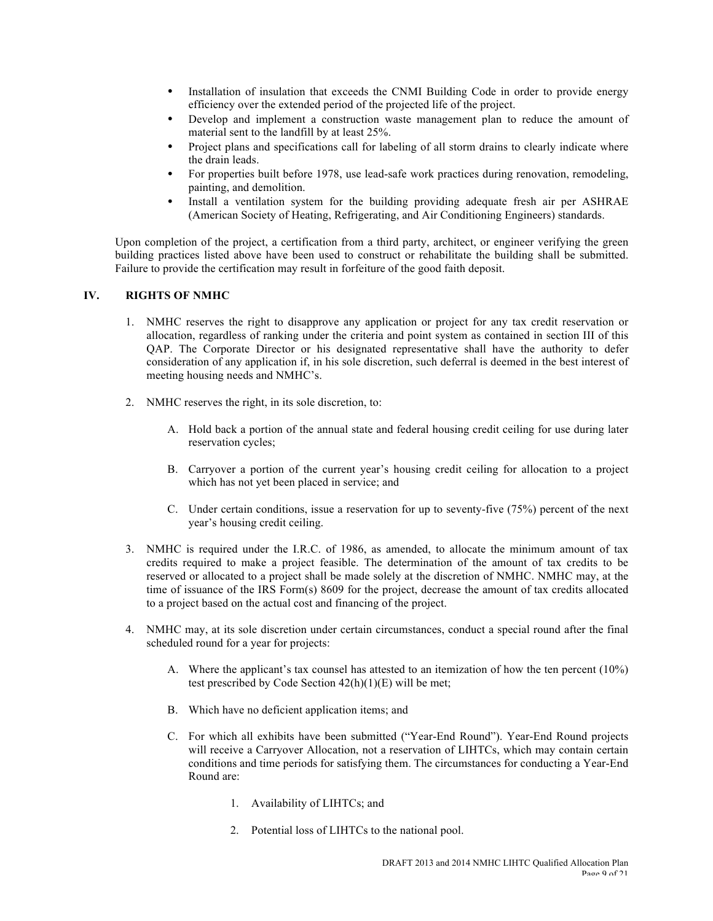- Installation of insulation that exceeds the CNMI Building Code in order to provide energy efficiency over the extended period of the projected life of the project.
- Develop and implement a construction waste management plan to reduce the amount of material sent to the landfill by at least 25%.
- Project plans and specifications call for labeling of all storm drains to clearly indicate where the drain leads.
- For properties built before 1978, use lead-safe work practices during renovation, remodeling, painting, and demolition.
- Install a ventilation system for the building providing adequate fresh air per ASHRAE (American Society of Heating, Refrigerating, and Air Conditioning Engineers) standards.

Upon completion of the project, a certification from a third party, architect, or engineer verifying the green building practices listed above have been used to construct or rehabilitate the building shall be submitted. Failure to provide the certification may result in forfeiture of the good faith deposit.

## **IV. RIGHTS OF NMHC**

- 1. NMHC reserves the right to disapprove any application or project for any tax credit reservation or allocation, regardless of ranking under the criteria and point system as contained in section III of this QAP. The Corporate Director or his designated representative shall have the authority to defer consideration of any application if, in his sole discretion, such deferral is deemed in the best interest of meeting housing needs and NMHC's.
- 2. NMHC reserves the right, in its sole discretion, to:
	- A. Hold back a portion of the annual state and federal housing credit ceiling for use during later reservation cycles;
	- B. Carryover a portion of the current year's housing credit ceiling for allocation to a project which has not yet been placed in service; and
	- C. Under certain conditions, issue a reservation for up to seventy-five (75%) percent of the next year's housing credit ceiling.
- 3. NMHC is required under the I.R.C. of 1986, as amended, to allocate the minimum amount of tax credits required to make a project feasible. The determination of the amount of tax credits to be reserved or allocated to a project shall be made solely at the discretion of NMHC. NMHC may, at the time of issuance of the IRS Form(s) 8609 for the project, decrease the amount of tax credits allocated to a project based on the actual cost and financing of the project.
- 4. NMHC may, at its sole discretion under certain circumstances, conduct a special round after the final scheduled round for a year for projects:
	- A. Where the applicant's tax counsel has attested to an itemization of how the ten percent (10%) test prescribed by Code Section 42(h)(1)(E) will be met;
	- B. Which have no deficient application items; and
	- C. For which all exhibits have been submitted ("Year-End Round"). Year-End Round projects will receive a Carryover Allocation, not a reservation of LIHTCs, which may contain certain conditions and time periods for satisfying them. The circumstances for conducting a Year-End Round are:
		- 1. Availability of LIHTCs; and
		- 2. Potential loss of LIHTCs to the national pool.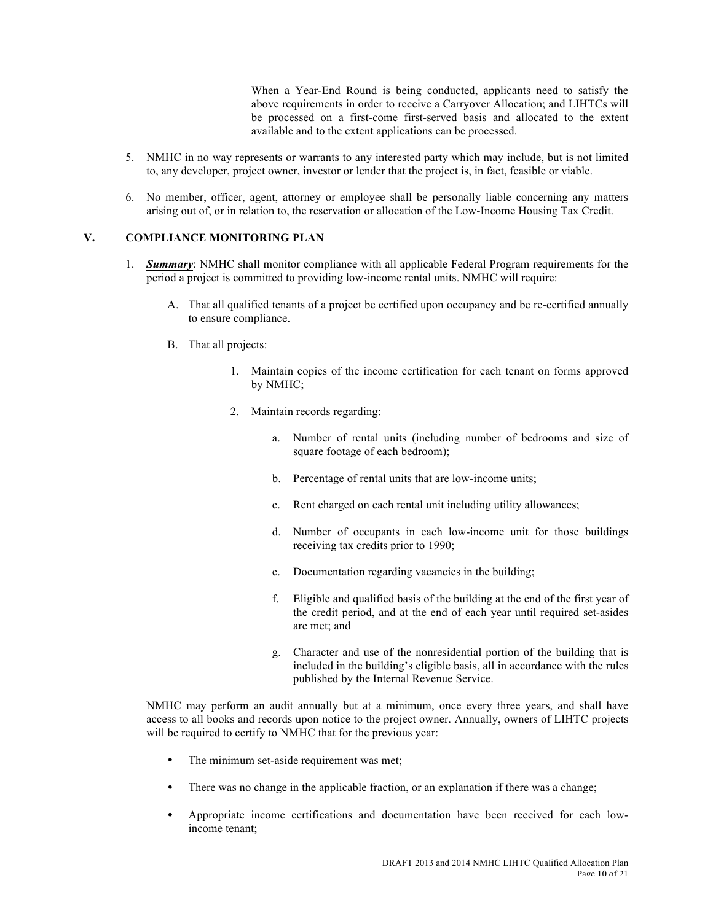When a Year-End Round is being conducted, applicants need to satisfy the above requirements in order to receive a Carryover Allocation; and LIHTCs will be processed on a first-come first-served basis and allocated to the extent available and to the extent applications can be processed.

- 5. NMHC in no way represents or warrants to any interested party which may include, but is not limited to, any developer, project owner, investor or lender that the project is, in fact, feasible or viable.
- 6. No member, officer, agent, attorney or employee shall be personally liable concerning any matters arising out of, or in relation to, the reservation or allocation of the Low-Income Housing Tax Credit.

## **V. COMPLIANCE MONITORING PLAN**

- 1. *Summary*: NMHC shall monitor compliance with all applicable Federal Program requirements for the period a project is committed to providing low-income rental units. NMHC will require:
	- A. That all qualified tenants of a project be certified upon occupancy and be re-certified annually to ensure compliance.
	- B. That all projects:
		- 1. Maintain copies of the income certification for each tenant on forms approved by NMHC;
		- 2. Maintain records regarding:
			- a. Number of rental units (including number of bedrooms and size of square footage of each bedroom);
			- b. Percentage of rental units that are low-income units;
			- c. Rent charged on each rental unit including utility allowances;
			- d. Number of occupants in each low-income unit for those buildings receiving tax credits prior to 1990;
			- e. Documentation regarding vacancies in the building;
			- f. Eligible and qualified basis of the building at the end of the first year of the credit period, and at the end of each year until required set-asides are met; and
			- g. Character and use of the nonresidential portion of the building that is included in the building's eligible basis, all in accordance with the rules published by the Internal Revenue Service.

NMHC may perform an audit annually but at a minimum, once every three years, and shall have access to all books and records upon notice to the project owner. Annually, owners of LIHTC projects will be required to certify to NMHC that for the previous year:

- The minimum set-aside requirement was met;
- There was no change in the applicable fraction, or an explanation if there was a change;
- Appropriate income certifications and documentation have been received for each lowincome tenant;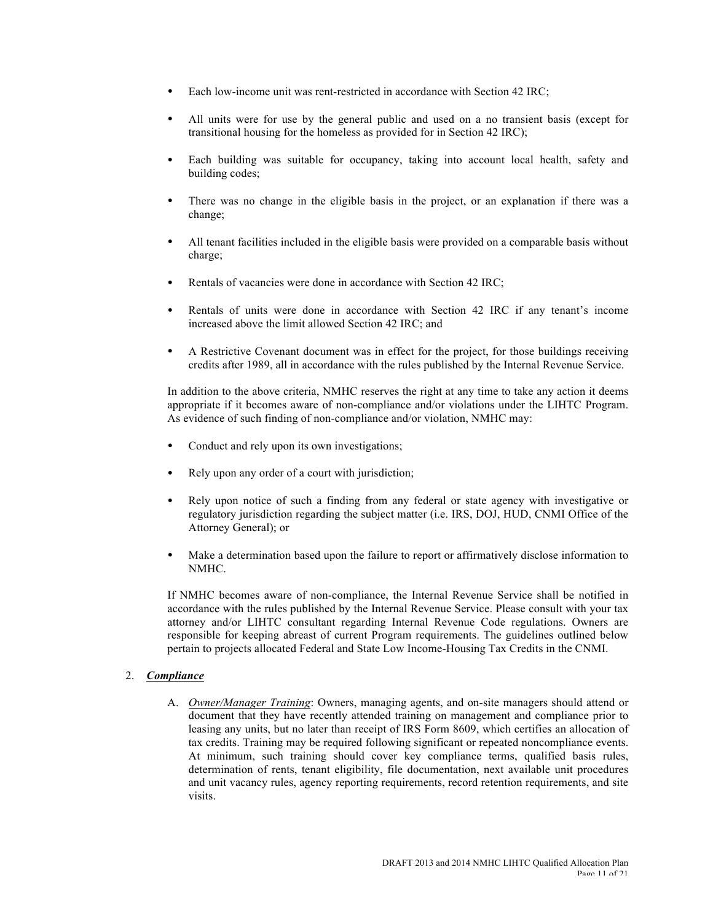- Each low-income unit was rent-restricted in accordance with Section 42 IRC;
- All units were for use by the general public and used on a no transient basis (except for transitional housing for the homeless as provided for in Section 42 IRC);
- Each building was suitable for occupancy, taking into account local health, safety and building codes;
- There was no change in the eligible basis in the project, or an explanation if there was a change;
- All tenant facilities included in the eligible basis were provided on a comparable basis without charge;
- Rentals of vacancies were done in accordance with Section 42 IRC;
- Rentals of units were done in accordance with Section 42 IRC if any tenant's income increased above the limit allowed Section 42 IRC; and
- A Restrictive Covenant document was in effect for the project, for those buildings receiving credits after 1989, all in accordance with the rules published by the Internal Revenue Service.

In addition to the above criteria, NMHC reserves the right at any time to take any action it deems appropriate if it becomes aware of non-compliance and/or violations under the LIHTC Program. As evidence of such finding of non-compliance and/or violation, NMHC may:

- Conduct and rely upon its own investigations;
- Rely upon any order of a court with jurisdiction;
- Rely upon notice of such a finding from any federal or state agency with investigative or regulatory jurisdiction regarding the subject matter (i.e. IRS, DOJ, HUD, CNMI Office of the Attorney General); or
- Make a determination based upon the failure to report or affirmatively disclose information to NMHC.

If NMHC becomes aware of non-compliance, the Internal Revenue Service shall be notified in accordance with the rules published by the Internal Revenue Service. Please consult with your tax attorney and/or LIHTC consultant regarding Internal Revenue Code regulations. Owners are responsible for keeping abreast of current Program requirements. The guidelines outlined below pertain to projects allocated Federal and State Low Income-Housing Tax Credits in the CNMI.

#### 2. *Compliance*

A. *Owner/Manager Training*: Owners, managing agents, and on-site managers should attend or document that they have recently attended training on management and compliance prior to leasing any units, but no later than receipt of IRS Form 8609, which certifies an allocation of tax credits. Training may be required following significant or repeated noncompliance events. At minimum, such training should cover key compliance terms, qualified basis rules, determination of rents, tenant eligibility, file documentation, next available unit procedures and unit vacancy rules, agency reporting requirements, record retention requirements, and site visits.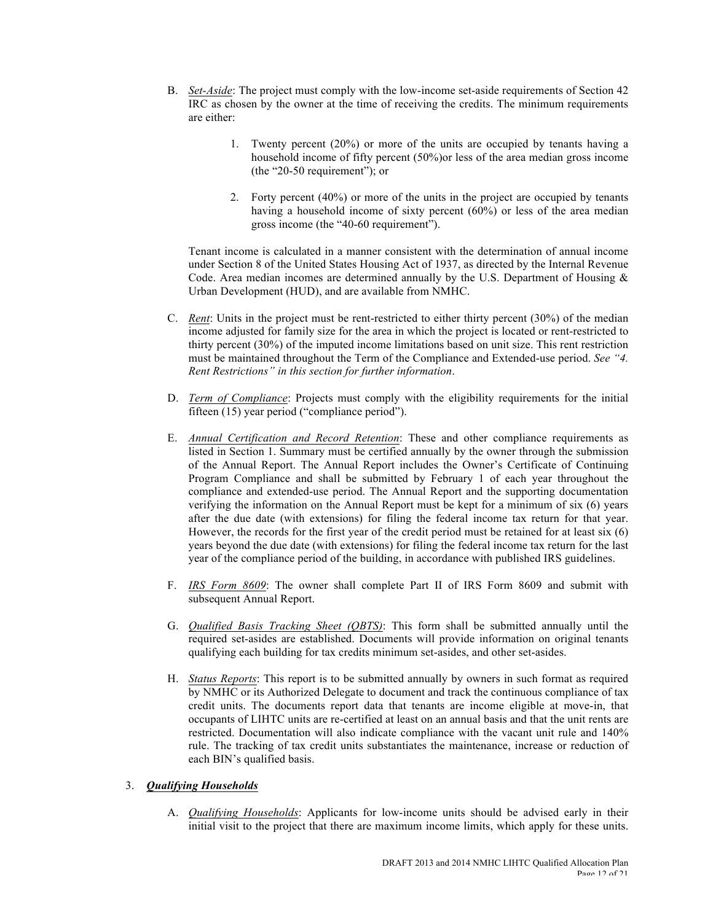- B. *Set-Aside*: The project must comply with the low-income set-aside requirements of Section 42 IRC as chosen by the owner at the time of receiving the credits. The minimum requirements are either:
	- 1. Twenty percent (20%) or more of the units are occupied by tenants having a household income of fifty percent (50%)or less of the area median gross income (the "20-50 requirement"); or
	- 2. Forty percent (40%) or more of the units in the project are occupied by tenants having a household income of sixty percent (60%) or less of the area median gross income (the "40-60 requirement").

Tenant income is calculated in a manner consistent with the determination of annual income under Section 8 of the United States Housing Act of 1937, as directed by the Internal Revenue Code. Area median incomes are determined annually by the U.S. Department of Housing  $\&$ Urban Development (HUD), and are available from NMHC.

- C. *Rent*: Units in the project must be rent-restricted to either thirty percent (30%) of the median income adjusted for family size for the area in which the project is located or rent-restricted to thirty percent (30%) of the imputed income limitations based on unit size. This rent restriction must be maintained throughout the Term of the Compliance and Extended-use period. *See "4. Rent Restrictions" in this section for further information*.
- D. *Term of Compliance*: Projects must comply with the eligibility requirements for the initial fifteen (15) year period ("compliance period").
- E. *Annual Certification and Record Retention*: These and other compliance requirements as listed in Section 1. Summary must be certified annually by the owner through the submission of the Annual Report. The Annual Report includes the Owner's Certificate of Continuing Program Compliance and shall be submitted by February 1 of each year throughout the compliance and extended-use period. The Annual Report and the supporting documentation verifying the information on the Annual Report must be kept for a minimum of six (6) years after the due date (with extensions) for filing the federal income tax return for that year. However, the records for the first year of the credit period must be retained for at least six (6) years beyond the due date (with extensions) for filing the federal income tax return for the last year of the compliance period of the building, in accordance with published IRS guidelines.
- F. *IRS Form 8609*: The owner shall complete Part II of IRS Form 8609 and submit with subsequent Annual Report.
- G. *Qualified Basis Tracking Sheet (QBTS)*: This form shall be submitted annually until the required set-asides are established. Documents will provide information on original tenants qualifying each building for tax credits minimum set-asides, and other set-asides.
- H. *Status Reports*: This report is to be submitted annually by owners in such format as required by NMHC or its Authorized Delegate to document and track the continuous compliance of tax credit units. The documents report data that tenants are income eligible at move-in, that occupants of LIHTC units are re-certified at least on an annual basis and that the unit rents are restricted. Documentation will also indicate compliance with the vacant unit rule and 140% rule. The tracking of tax credit units substantiates the maintenance, increase or reduction of each BIN's qualified basis.

## 3. *Qualifying Households*

A. *Qualifying Households*: Applicants for low-income units should be advised early in their initial visit to the project that there are maximum income limits, which apply for these units.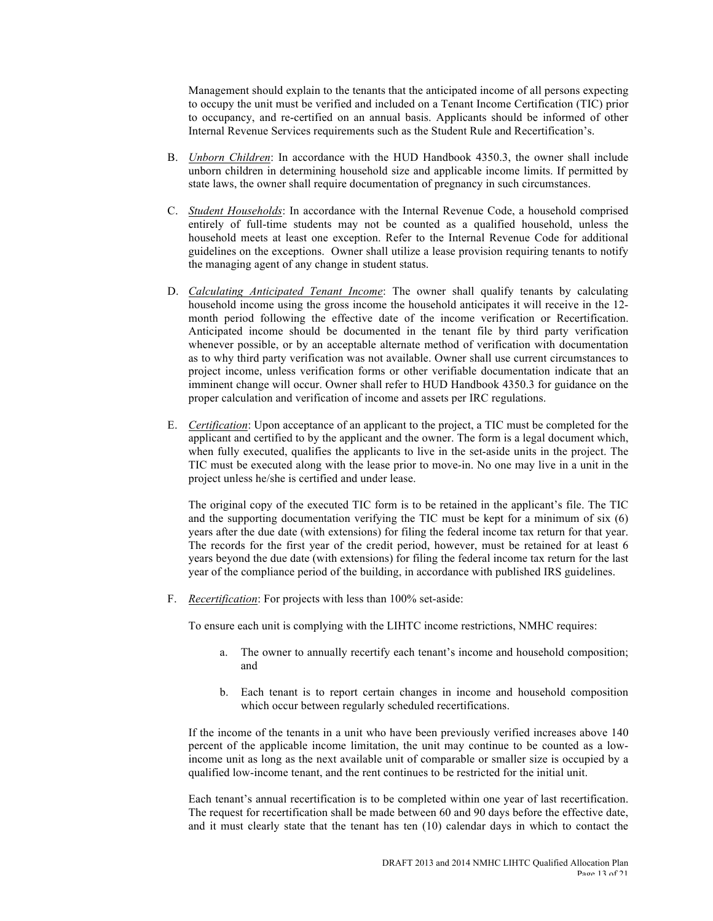Management should explain to the tenants that the anticipated income of all persons expecting to occupy the unit must be verified and included on a Tenant Income Certification (TIC) prior to occupancy, and re-certified on an annual basis. Applicants should be informed of other Internal Revenue Services requirements such as the Student Rule and Recertification's.

- B. *Unborn Children*: In accordance with the HUD Handbook 4350.3, the owner shall include unborn children in determining household size and applicable income limits. If permitted by state laws, the owner shall require documentation of pregnancy in such circumstances.
- C. *Student Households*: In accordance with the Internal Revenue Code, a household comprised entirely of full-time students may not be counted as a qualified household, unless the household meets at least one exception. Refer to the Internal Revenue Code for additional guidelines on the exceptions. Owner shall utilize a lease provision requiring tenants to notify the managing agent of any change in student status.
- D. *Calculating Anticipated Tenant Income*: The owner shall qualify tenants by calculating household income using the gross income the household anticipates it will receive in the 12 month period following the effective date of the income verification or Recertification. Anticipated income should be documented in the tenant file by third party verification whenever possible, or by an acceptable alternate method of verification with documentation as to why third party verification was not available. Owner shall use current circumstances to project income, unless verification forms or other verifiable documentation indicate that an imminent change will occur. Owner shall refer to HUD Handbook 4350.3 for guidance on the proper calculation and verification of income and assets per IRC regulations.
- E. *Certification*: Upon acceptance of an applicant to the project, a TIC must be completed for the applicant and certified to by the applicant and the owner. The form is a legal document which, when fully executed, qualifies the applicants to live in the set-aside units in the project. The TIC must be executed along with the lease prior to move-in. No one may live in a unit in the project unless he/she is certified and under lease.

The original copy of the executed TIC form is to be retained in the applicant's file. The TIC and the supporting documentation verifying the TIC must be kept for a minimum of six (6) years after the due date (with extensions) for filing the federal income tax return for that year. The records for the first year of the credit period, however, must be retained for at least 6 years beyond the due date (with extensions) for filing the federal income tax return for the last year of the compliance period of the building, in accordance with published IRS guidelines.

F. *Recertification*: For projects with less than 100% set-aside:

To ensure each unit is complying with the LIHTC income restrictions, NMHC requires:

- a. The owner to annually recertify each tenant's income and household composition; and
- b. Each tenant is to report certain changes in income and household composition which occur between regularly scheduled recertifications.

If the income of the tenants in a unit who have been previously verified increases above 140 percent of the applicable income limitation, the unit may continue to be counted as a lowincome unit as long as the next available unit of comparable or smaller size is occupied by a qualified low-income tenant, and the rent continues to be restricted for the initial unit.

Each tenant's annual recertification is to be completed within one year of last recertification. The request for recertification shall be made between 60 and 90 days before the effective date, and it must clearly state that the tenant has ten (10) calendar days in which to contact the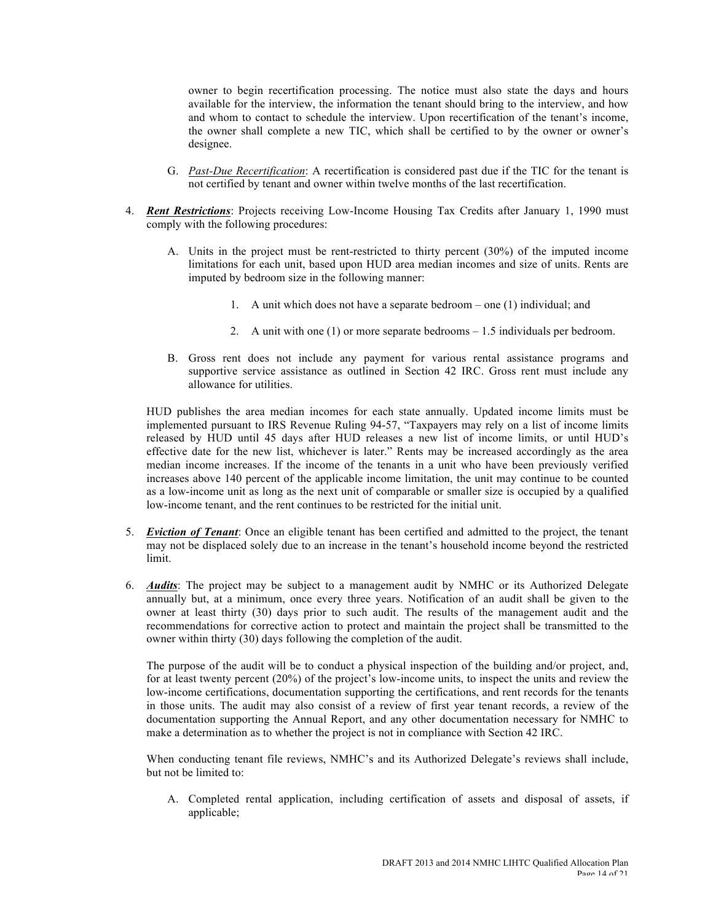owner to begin recertification processing. The notice must also state the days and hours available for the interview, the information the tenant should bring to the interview, and how and whom to contact to schedule the interview. Upon recertification of the tenant's income, the owner shall complete a new TIC, which shall be certified to by the owner or owner's designee.

- G. *Past-Due Recertification*: A recertification is considered past due if the TIC for the tenant is not certified by tenant and owner within twelve months of the last recertification.
- 4. *Rent Restrictions*: Projects receiving Low-Income Housing Tax Credits after January 1, 1990 must comply with the following procedures:
	- A. Units in the project must be rent-restricted to thirty percent (30%) of the imputed income limitations for each unit, based upon HUD area median incomes and size of units. Rents are imputed by bedroom size in the following manner:
		- 1. A unit which does not have a separate bedroom one (1) individual; and
		- 2. A unit with one (1) or more separate bedrooms 1.5 individuals per bedroom.
	- B. Gross rent does not include any payment for various rental assistance programs and supportive service assistance as outlined in Section 42 IRC. Gross rent must include any allowance for utilities.

HUD publishes the area median incomes for each state annually. Updated income limits must be implemented pursuant to IRS Revenue Ruling 94-57, "Taxpayers may rely on a list of income limits released by HUD until 45 days after HUD releases a new list of income limits, or until HUD's effective date for the new list, whichever is later." Rents may be increased accordingly as the area median income increases. If the income of the tenants in a unit who have been previously verified increases above 140 percent of the applicable income limitation, the unit may continue to be counted as a low-income unit as long as the next unit of comparable or smaller size is occupied by a qualified low-income tenant, and the rent continues to be restricted for the initial unit.

- 5. *Eviction of Tenant*: Once an eligible tenant has been certified and admitted to the project, the tenant may not be displaced solely due to an increase in the tenant's household income beyond the restricted limit.
- 6. *Audits*: The project may be subject to a management audit by NMHC or its Authorized Delegate annually but, at a minimum, once every three years. Notification of an audit shall be given to the owner at least thirty (30) days prior to such audit. The results of the management audit and the recommendations for corrective action to protect and maintain the project shall be transmitted to the owner within thirty (30) days following the completion of the audit.

The purpose of the audit will be to conduct a physical inspection of the building and/or project, and, for at least twenty percent (20%) of the project's low-income units, to inspect the units and review the low-income certifications, documentation supporting the certifications, and rent records for the tenants in those units. The audit may also consist of a review of first year tenant records, a review of the documentation supporting the Annual Report, and any other documentation necessary for NMHC to make a determination as to whether the project is not in compliance with Section 42 IRC.

When conducting tenant file reviews, NMHC's and its Authorized Delegate's reviews shall include, but not be limited to:

A. Completed rental application, including certification of assets and disposal of assets, if applicable;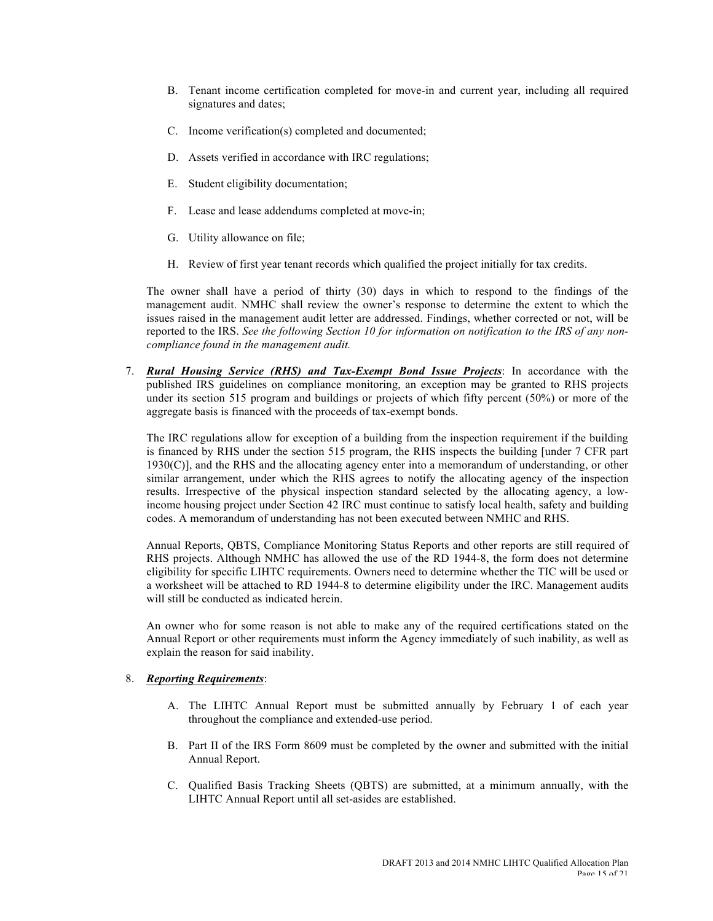- B. Tenant income certification completed for move-in and current year, including all required signatures and dates;
- C. Income verification(s) completed and documented;
- D. Assets verified in accordance with IRC regulations;
- E. Student eligibility documentation;
- F. Lease and lease addendums completed at move-in;
- G. Utility allowance on file;
- H. Review of first year tenant records which qualified the project initially for tax credits.

The owner shall have a period of thirty (30) days in which to respond to the findings of the management audit. NMHC shall review the owner's response to determine the extent to which the issues raised in the management audit letter are addressed. Findings, whether corrected or not, will be reported to the IRS. *See the following Section 10 for information on notification to the IRS of any noncompliance found in the management audit.*

7. *Rural Housing Service (RHS) and Tax-Exempt Bond Issue Projects*: In accordance with the published IRS guidelines on compliance monitoring, an exception may be granted to RHS projects under its section 515 program and buildings or projects of which fifty percent (50%) or more of the aggregate basis is financed with the proceeds of tax-exempt bonds.

The IRC regulations allow for exception of a building from the inspection requirement if the building is financed by RHS under the section 515 program, the RHS inspects the building [under 7 CFR part  $1930(C)$ ], and the RHS and the allocating agency enter into a memorandum of understanding, or other similar arrangement, under which the RHS agrees to notify the allocating agency of the inspection results. Irrespective of the physical inspection standard selected by the allocating agency, a lowincome housing project under Section 42 IRC must continue to satisfy local health, safety and building codes. A memorandum of understanding has not been executed between NMHC and RHS.

Annual Reports, QBTS, Compliance Monitoring Status Reports and other reports are still required of RHS projects. Although NMHC has allowed the use of the RD 1944-8, the form does not determine eligibility for specific LIHTC requirements. Owners need to determine whether the TIC will be used or a worksheet will be attached to RD 1944-8 to determine eligibility under the IRC. Management audits will still be conducted as indicated herein.

An owner who for some reason is not able to make any of the required certifications stated on the Annual Report or other requirements must inform the Agency immediately of such inability, as well as explain the reason for said inability.

#### 8. *Reporting Requirements*:

- A. The LIHTC Annual Report must be submitted annually by February 1 of each year throughout the compliance and extended-use period.
- B. Part II of the IRS Form 8609 must be completed by the owner and submitted with the initial Annual Report.
- C. Qualified Basis Tracking Sheets (QBTS) are submitted, at a minimum annually, with the LIHTC Annual Report until all set-asides are established.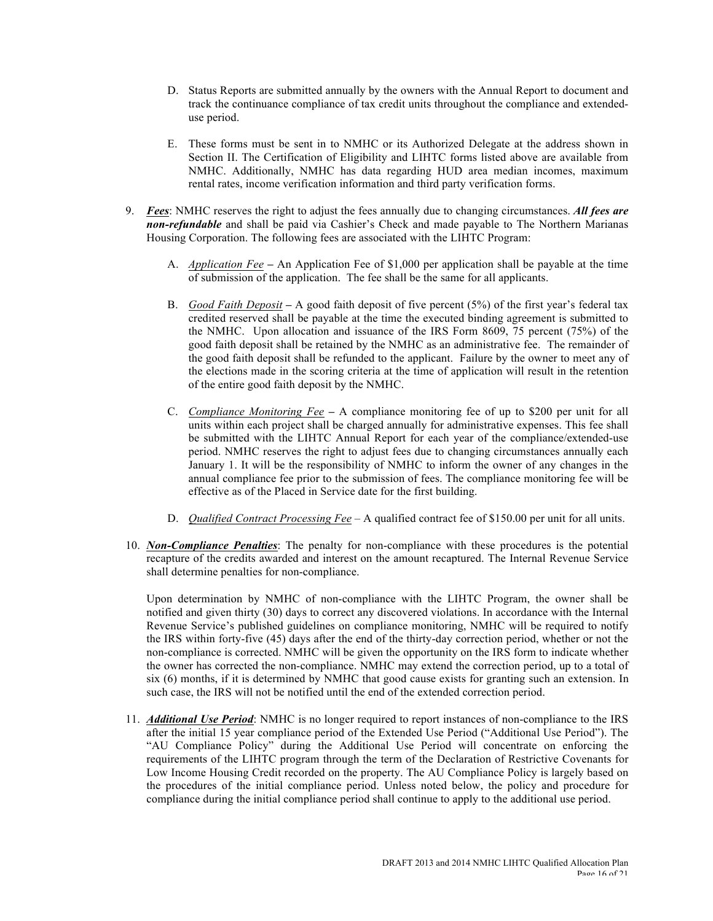- D. Status Reports are submitted annually by the owners with the Annual Report to document and track the continuance compliance of tax credit units throughout the compliance and extendeduse period.
- E. These forms must be sent in to NMHC or its Authorized Delegate at the address shown in Section II. The Certification of Eligibility and LIHTC forms listed above are available from NMHC. Additionally, NMHC has data regarding HUD area median incomes, maximum rental rates, income verification information and third party verification forms.
- 9. *Fees*: NMHC reserves the right to adjust the fees annually due to changing circumstances. *All fees are non-refundable* and shall be paid via Cashier's Check and made payable to The Northern Marianas Housing Corporation. The following fees are associated with the LIHTC Program:
	- A. *Application Fee* **–** An Application Fee of \$1,000 per application shall be payable at the time of submission of the application. The fee shall be the same for all applicants.
	- B. *Good Faith Deposit* **–** A good faith deposit of five percent (5%) of the first year's federal tax credited reserved shall be payable at the time the executed binding agreement is submitted to the NMHC. Upon allocation and issuance of the IRS Form 8609, 75 percent (75%) of the good faith deposit shall be retained by the NMHC as an administrative fee. The remainder of the good faith deposit shall be refunded to the applicant. Failure by the owner to meet any of the elections made in the scoring criteria at the time of application will result in the retention of the entire good faith deposit by the NMHC.
	- C. *Compliance Monitoring Fee* **–** A compliance monitoring fee of up to \$200 per unit for all units within each project shall be charged annually for administrative expenses. This fee shall be submitted with the LIHTC Annual Report for each year of the compliance/extended-use period. NMHC reserves the right to adjust fees due to changing circumstances annually each January 1. It will be the responsibility of NMHC to inform the owner of any changes in the annual compliance fee prior to the submission of fees. The compliance monitoring fee will be effective as of the Placed in Service date for the first building.
	- D. *Qualified Contract Processing Fee* A qualified contract fee of \$150.00 per unit for all units.
- 10. *Non-Compliance Penalties*: The penalty for non-compliance with these procedures is the potential recapture of the credits awarded and interest on the amount recaptured. The Internal Revenue Service shall determine penalties for non-compliance.

Upon determination by NMHC of non-compliance with the LIHTC Program, the owner shall be notified and given thirty (30) days to correct any discovered violations. In accordance with the Internal Revenue Service's published guidelines on compliance monitoring, NMHC will be required to notify the IRS within forty-five (45) days after the end of the thirty-day correction period, whether or not the non-compliance is corrected. NMHC will be given the opportunity on the IRS form to indicate whether the owner has corrected the non-compliance. NMHC may extend the correction period, up to a total of six (6) months, if it is determined by NMHC that good cause exists for granting such an extension. In such case, the IRS will not be notified until the end of the extended correction period.

11. *Additional Use Period*: NMHC is no longer required to report instances of non-compliance to the IRS after the initial 15 year compliance period of the Extended Use Period ("Additional Use Period"). The "AU Compliance Policy" during the Additional Use Period will concentrate on enforcing the requirements of the LIHTC program through the term of the Declaration of Restrictive Covenants for Low Income Housing Credit recorded on the property. The AU Compliance Policy is largely based on the procedures of the initial compliance period. Unless noted below, the policy and procedure for compliance during the initial compliance period shall continue to apply to the additional use period.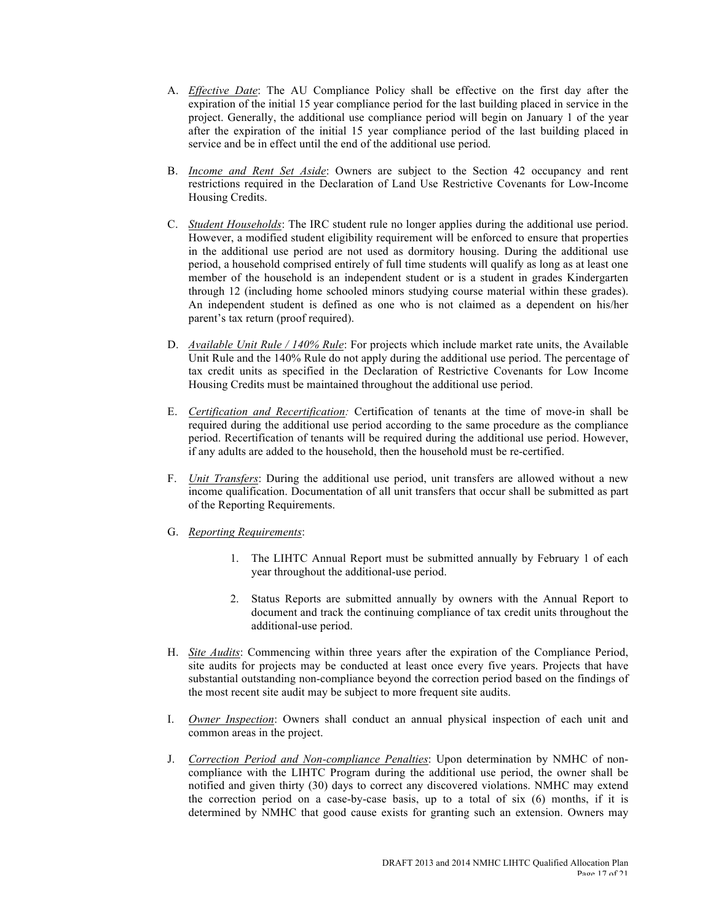- A. *Effective Date*: The AU Compliance Policy shall be effective on the first day after the expiration of the initial 15 year compliance period for the last building placed in service in the project. Generally, the additional use compliance period will begin on January 1 of the year after the expiration of the initial 15 year compliance period of the last building placed in service and be in effect until the end of the additional use period.
- B. *Income and Rent Set Aside*: Owners are subject to the Section 42 occupancy and rent restrictions required in the Declaration of Land Use Restrictive Covenants for Low-Income Housing Credits.
- C. *Student Households*: The IRC student rule no longer applies during the additional use period. However, a modified student eligibility requirement will be enforced to ensure that properties in the additional use period are not used as dormitory housing. During the additional use period, a household comprised entirely of full time students will qualify as long as at least one member of the household is an independent student or is a student in grades Kindergarten through 12 (including home schooled minors studying course material within these grades). An independent student is defined as one who is not claimed as a dependent on his/her parent's tax return (proof required).
- D. *Available Unit Rule / 140% Rule*: For projects which include market rate units, the Available Unit Rule and the 140% Rule do not apply during the additional use period. The percentage of tax credit units as specified in the Declaration of Restrictive Covenants for Low Income Housing Credits must be maintained throughout the additional use period.
- E. *Certification and Recertification:* Certification of tenants at the time of move-in shall be required during the additional use period according to the same procedure as the compliance period. Recertification of tenants will be required during the additional use period. However, if any adults are added to the household, then the household must be re-certified.
- F. *Unit Transfers*: During the additional use period, unit transfers are allowed without a new income qualification. Documentation of all unit transfers that occur shall be submitted as part of the Reporting Requirements.
- G. *Reporting Requirements*:
	- 1. The LIHTC Annual Report must be submitted annually by February 1 of each year throughout the additional-use period.
	- 2. Status Reports are submitted annually by owners with the Annual Report to document and track the continuing compliance of tax credit units throughout the additional-use period.
- H. *Site Audits*: Commencing within three years after the expiration of the Compliance Period, site audits for projects may be conducted at least once every five years. Projects that have substantial outstanding non-compliance beyond the correction period based on the findings of the most recent site audit may be subject to more frequent site audits.
- I. *Owner Inspection*: Owners shall conduct an annual physical inspection of each unit and common areas in the project.
- J. *Correction Period and Non-compliance Penalties*: Upon determination by NMHC of noncompliance with the LIHTC Program during the additional use period, the owner shall be notified and given thirty (30) days to correct any discovered violations. NMHC may extend the correction period on a case-by-case basis, up to a total of six (6) months, if it is determined by NMHC that good cause exists for granting such an extension. Owners may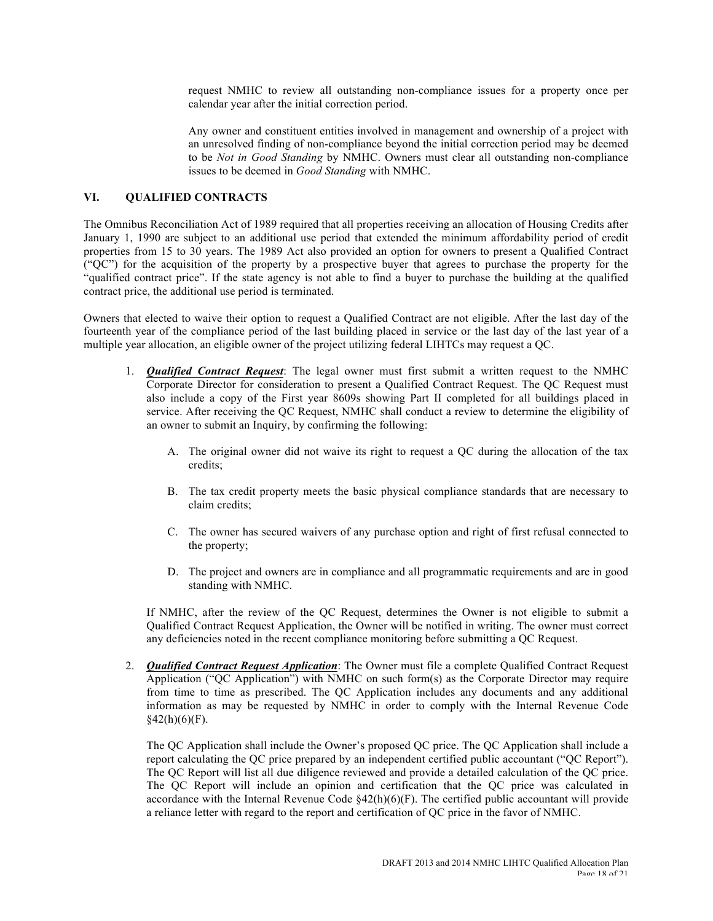request NMHC to review all outstanding non-compliance issues for a property once per calendar year after the initial correction period.

Any owner and constituent entities involved in management and ownership of a project with an unresolved finding of non-compliance beyond the initial correction period may be deemed to be *Not in Good Standing* by NMHC. Owners must clear all outstanding non-compliance issues to be deemed in *Good Standing* with NMHC.

### **VI. QUALIFIED CONTRACTS**

The Omnibus Reconciliation Act of 1989 required that all properties receiving an allocation of Housing Credits after January 1, 1990 are subject to an additional use period that extended the minimum affordability period of credit properties from 15 to 30 years. The 1989 Act also provided an option for owners to present a Qualified Contract ("QC") for the acquisition of the property by a prospective buyer that agrees to purchase the property for the "qualified contract price". If the state agency is not able to find a buyer to purchase the building at the qualified contract price, the additional use period is terminated.

Owners that elected to waive their option to request a Qualified Contract are not eligible. After the last day of the fourteenth year of the compliance period of the last building placed in service or the last day of the last year of a multiple year allocation, an eligible owner of the project utilizing federal LIHTCs may request a QC.

- 1. *Qualified Contract Request*: The legal owner must first submit a written request to the NMHC Corporate Director for consideration to present a Qualified Contract Request. The QC Request must also include a copy of the First year 8609s showing Part II completed for all buildings placed in service. After receiving the QC Request, NMHC shall conduct a review to determine the eligibility of an owner to submit an Inquiry, by confirming the following:
	- A. The original owner did not waive its right to request a QC during the allocation of the tax credits;
	- B. The tax credit property meets the basic physical compliance standards that are necessary to claim credits;
	- C. The owner has secured waivers of any purchase option and right of first refusal connected to the property;
	- D. The project and owners are in compliance and all programmatic requirements and are in good standing with NMHC.

If NMHC, after the review of the QC Request, determines the Owner is not eligible to submit a Qualified Contract Request Application, the Owner will be notified in writing. The owner must correct any deficiencies noted in the recent compliance monitoring before submitting a QC Request.

2. *Qualified Contract Request Application*: The Owner must file a complete Qualified Contract Request Application ("QC Application") with NMHC on such form(s) as the Corporate Director may require from time to time as prescribed. The QC Application includes any documents and any additional information as may be requested by NMHC in order to comply with the Internal Revenue Code  $§42(h)(6)(F).$ 

The QC Application shall include the Owner's proposed QC price. The QC Application shall include a report calculating the QC price prepared by an independent certified public accountant ("QC Report"). The QC Report will list all due diligence reviewed and provide a detailed calculation of the QC price. The QC Report will include an opinion and certification that the QC price was calculated in accordance with the Internal Revenue Code §42(h)(6)(F). The certified public accountant will provide a reliance letter with regard to the report and certification of QC price in the favor of NMHC.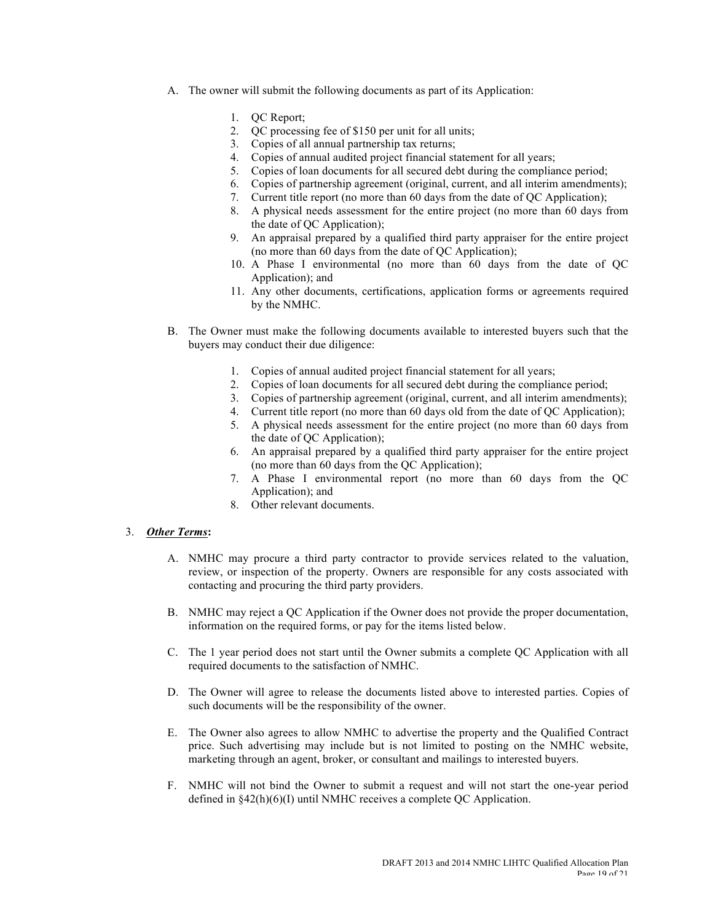- A. The owner will submit the following documents as part of its Application:
	- 1. OC Report:
	- 2. QC processing fee of \$150 per unit for all units;
	- 3. Copies of all annual partnership tax returns;
	- 4. Copies of annual audited project financial statement for all years;
	- 5. Copies of loan documents for all secured debt during the compliance period;
	- 6. Copies of partnership agreement (original, current, and all interim amendments);
	- 7. Current title report (no more than 60 days from the date of QC Application);
	- 8. A physical needs assessment for the entire project (no more than 60 days from the date of QC Application);
	- 9. An appraisal prepared by a qualified third party appraiser for the entire project (no more than 60 days from the date of QC Application);
	- 10. A Phase I environmental (no more than 60 days from the date of QC Application); and
	- 11. Any other documents, certifications, application forms or agreements required by the NMHC.
- B. The Owner must make the following documents available to interested buyers such that the buyers may conduct their due diligence:
	- 1. Copies of annual audited project financial statement for all years;
	- 2. Copies of loan documents for all secured debt during the compliance period;
	- 3. Copies of partnership agreement (original, current, and all interim amendments);
	- 4. Current title report (no more than 60 days old from the date of QC Application);
	- 5. A physical needs assessment for the entire project (no more than 60 days from the date of QC Application);
	- 6. An appraisal prepared by a qualified third party appraiser for the entire project (no more than 60 days from the QC Application);
	- 7. A Phase I environmental report (no more than 60 days from the QC Application); and
	- 8. Other relevant documents.

#### 3. *Other Terms***:**

- A. NMHC may procure a third party contractor to provide services related to the valuation, review, or inspection of the property. Owners are responsible for any costs associated with contacting and procuring the third party providers.
- B. NMHC may reject a QC Application if the Owner does not provide the proper documentation, information on the required forms, or pay for the items listed below.
- C. The 1 year period does not start until the Owner submits a complete QC Application with all required documents to the satisfaction of NMHC.
- D. The Owner will agree to release the documents listed above to interested parties. Copies of such documents will be the responsibility of the owner.
- E. The Owner also agrees to allow NMHC to advertise the property and the Qualified Contract price. Such advertising may include but is not limited to posting on the NMHC website, marketing through an agent, broker, or consultant and mailings to interested buyers.
- F. NMHC will not bind the Owner to submit a request and will not start the one-year period defined in §42(h)(6)(I) until NMHC receives a complete QC Application.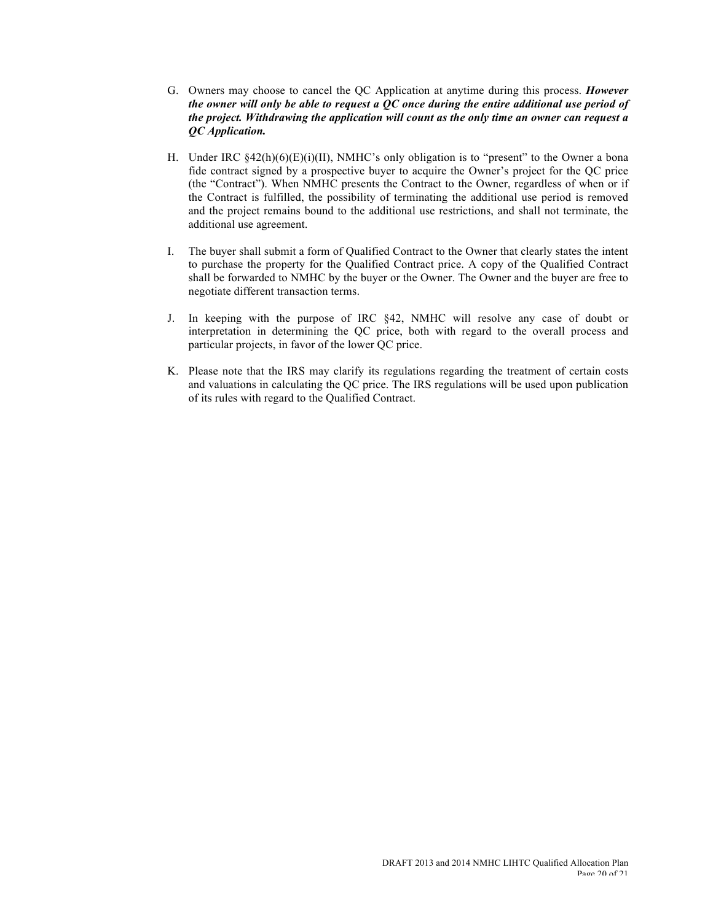- G. Owners may choose to cancel the QC Application at anytime during this process. *However the owner will only be able to request a QC once during the entire additional use period of the project. Withdrawing the application will count as the only time an owner can request a QC Application.*
- H. Under IRC  $\S 42(h)(6)(E)(i)(II)$ , NMHC's only obligation is to "present" to the Owner a bona fide contract signed by a prospective buyer to acquire the Owner's project for the QC price (the "Contract"). When NMHC presents the Contract to the Owner, regardless of when or if the Contract is fulfilled, the possibility of terminating the additional use period is removed and the project remains bound to the additional use restrictions, and shall not terminate, the additional use agreement.
- I. The buyer shall submit a form of Qualified Contract to the Owner that clearly states the intent to purchase the property for the Qualified Contract price. A copy of the Qualified Contract shall be forwarded to NMHC by the buyer or the Owner. The Owner and the buyer are free to negotiate different transaction terms.
- J. In keeping with the purpose of IRC §42, NMHC will resolve any case of doubt or interpretation in determining the QC price, both with regard to the overall process and particular projects, in favor of the lower QC price.
- K. Please note that the IRS may clarify its regulations regarding the treatment of certain costs and valuations in calculating the QC price. The IRS regulations will be used upon publication of its rules with regard to the Qualified Contract.